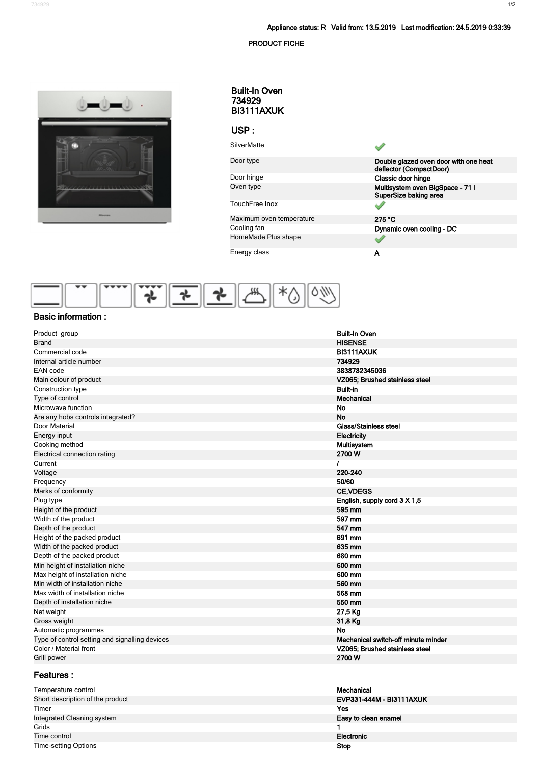## **PRODUCT FICHE**

**1/2** 234929

|                                                                      | <b>Built-In Oven</b><br>734929<br>BI3111AXUK |                                                           |
|----------------------------------------------------------------------|----------------------------------------------|-----------------------------------------------------------|
|                                                                      | USP:                                         |                                                           |
|                                                                      | <b>SilverMatte</b>                           |                                                           |
|                                                                      | Door type                                    | Double glazed oven door with one heat                     |
|                                                                      | Door hinge                                   | deflector (CompactDoor)<br>Classic door hinge             |
|                                                                      | Oven type                                    | Multisystem oven BigSpace - 71 I<br>SuperSize baking area |
|                                                                      | TouchFree Inox                               | $\mathscr{S}$                                             |
| Historica                                                            | Maximum oven temperature                     | 275 °C                                                    |
|                                                                      | Cooling fan                                  | Dynamic oven cooling - DC                                 |
|                                                                      | HomeMade Plus shape                          | ৶                                                         |
|                                                                      | Energy class                                 | A                                                         |
|                                                                      |                                              |                                                           |
|                                                                      |                                              |                                                           |
|                                                                      |                                              |                                                           |
|                                                                      |                                              |                                                           |
| <b>Basic information:</b>                                            |                                              |                                                           |
|                                                                      |                                              |                                                           |
| Product group                                                        |                                              | <b>Built-In Oven</b>                                      |
| <b>Brand</b>                                                         |                                              | <b>HISENSE</b>                                            |
| Commercial code                                                      |                                              | BI3111AXUK                                                |
| Internal article number                                              |                                              | 734929                                                    |
| EAN code                                                             |                                              | 3838782345036                                             |
| Main colour of product                                               |                                              | VZ065; Brushed stainless steel                            |
| Construction type                                                    |                                              | <b>Built-in</b>                                           |
| Type of control                                                      |                                              | <b>Mechanical</b>                                         |
| Microwave function                                                   |                                              | No                                                        |
| Are any hobs controls integrated?                                    |                                              | <b>No</b>                                                 |
| Door Material                                                        |                                              | <b>Glass/Stainless steel</b><br>Electricity               |
| Energy input<br>Cooking method                                       |                                              | Multisystem                                               |
| Electrical connection rating                                         |                                              | 2700W                                                     |
| Current                                                              |                                              | ı                                                         |
| Voltage                                                              |                                              | 220-240                                                   |
| Frequency                                                            |                                              | 50/60                                                     |
| Marks of conformity                                                  |                                              | <b>CE, VDEGS</b>                                          |
| Plug type                                                            |                                              | English, supply cord 3 X 1,5                              |
| Height of the product                                                |                                              | 595 mm                                                    |
| Width of the product                                                 |                                              | 597 mm                                                    |
| Depth of the product                                                 |                                              | 547 mm                                                    |
| Height of the packed product                                         |                                              | 691 mm                                                    |
| Width of the packed product                                          |                                              | 635 mm                                                    |
| Depth of the packed product                                          |                                              | 680 mm                                                    |
| Min height of installation niche<br>Max height of installation niche |                                              | 600 mm<br>600 mm                                          |
| Min width of installation niche                                      |                                              | 560 mm                                                    |
| Max width of installation niche                                      |                                              | 568 mm                                                    |
| Depth of installation niche                                          |                                              | 550 mm                                                    |
| Net weight                                                           |                                              | 27,5 Kg                                                   |
| Gross weight                                                         |                                              | 31,8 Kg                                                   |
| Automatic programmes                                                 |                                              | <b>No</b>                                                 |
| Type of control setting and signalling devices                       |                                              | Mechanical switch-off minute minder                       |
| Color / Material front                                               |                                              | VZ065; Brushed stainless steel                            |
| Grill power                                                          |                                              | 2700W                                                     |

## **Features :**

| Temperature control              | Mechanical               |
|----------------------------------|--------------------------|
| Short description of the product | EVP331-444M - BI3111AXUK |
| Timer                            | Yes                      |
| Integrated Cleaning system       | Easy to clean enamel     |
| Grids                            |                          |
| Time control                     | Electronic               |
| Time-setting Options             | <b>Stop</b>              |